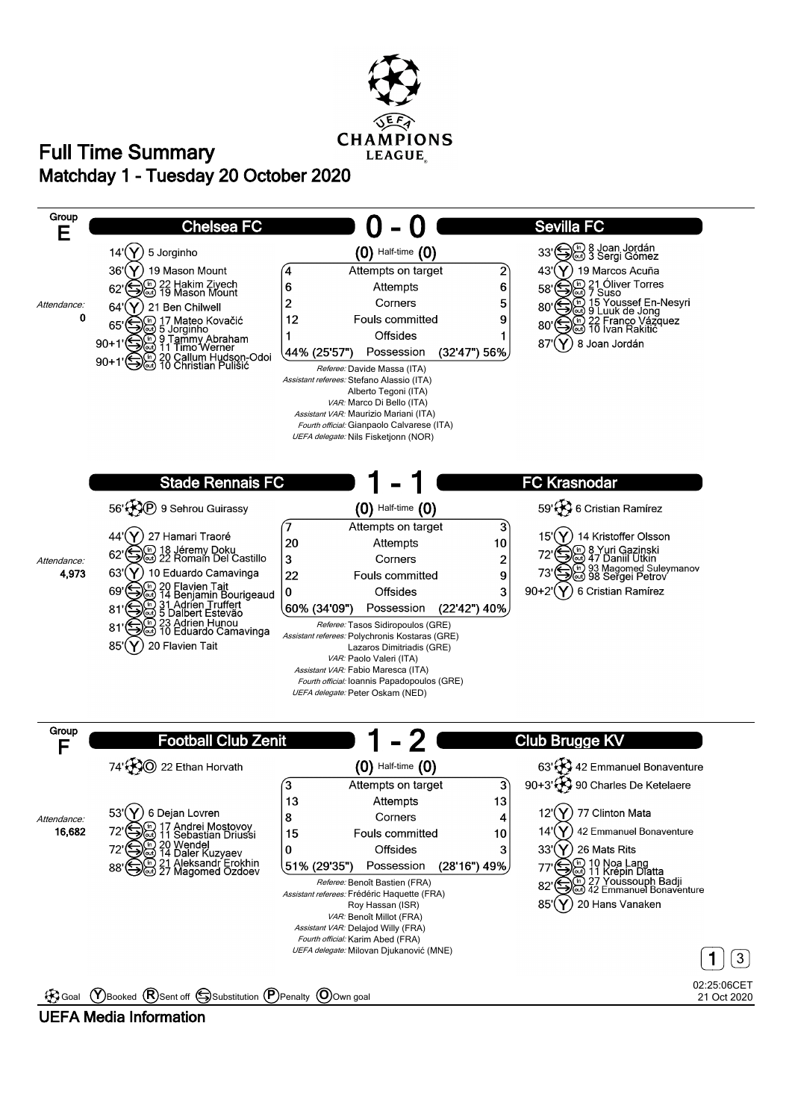

## **Matchday 1 - Tuesday 20 October 2020 Full Time Summary**



### **UEFA Media Information**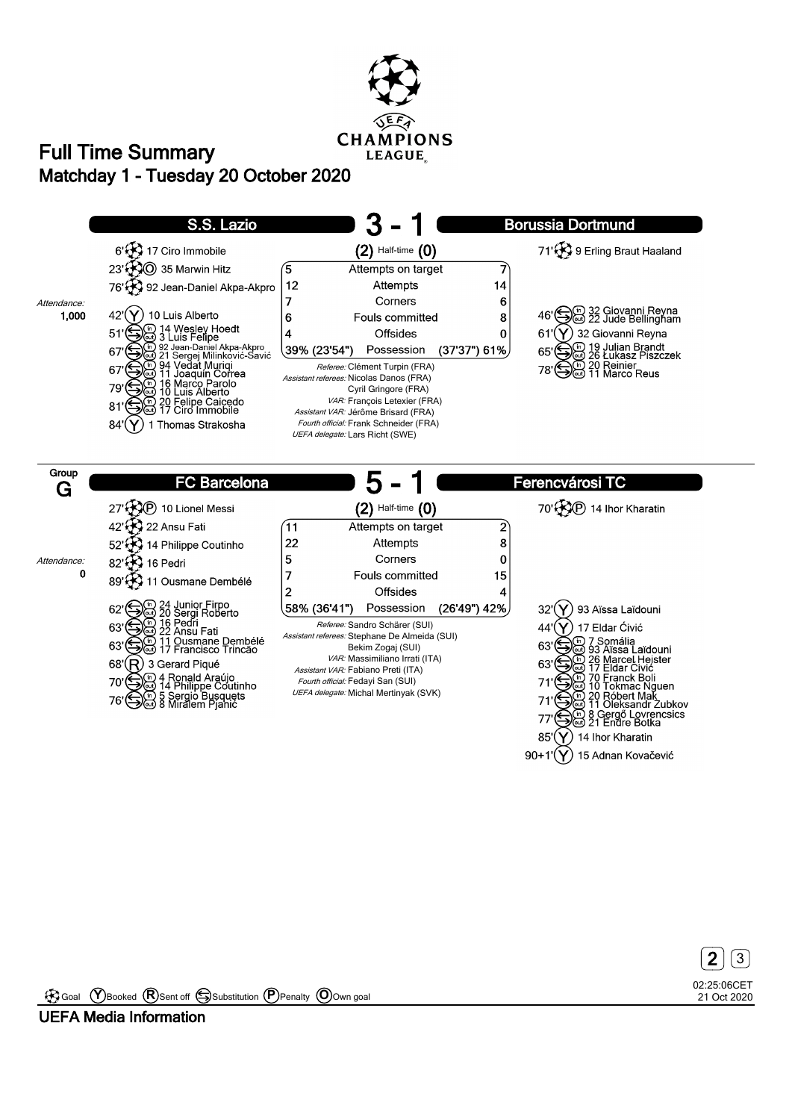

# **Matchday 1 - Tuesday 20 October 2020 Full Time Summary**



90+1' $(Y)$  15 Adnan Kovačević

02:25:06CET 21 Oct 2020 **2** 3

Goal **Y** Booked **R** Sent off Substitution **P** Penalty **O** Own goal

**UEFA Media Information**